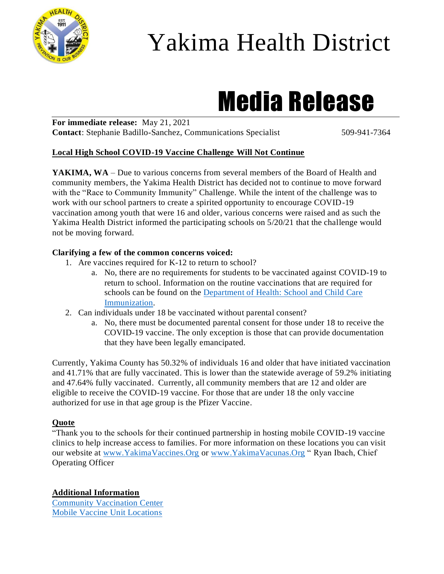

## Yakima Health District

# Media Release

**For immediate release:** May 21, 2021 **Contact:** Stephanie Badillo-Sanchez, Communications Specialist 509-941-7364

#### **Local High School COVID-19 Vaccine Challenge Will Not Continue**

YAKIMA, WA – Due to various concerns from several members of the Board of Health and community members, the Yakima Health District has decided not to continue to move forward with the "Race to Community Immunity" Challenge. While the intent of the challenge was to work with our school partners to create a spirited opportunity to encourage COVID-19 vaccination among youth that were 16 and older, various concerns were raised and as such the Yakima Health District informed the participating schools on 5/20/21 that the challenge would not be moving forward.

#### **Clarifying a few of the common concerns voiced:**

- 1. Are vaccines required for K-12 to return to school?
	- a. No, there are no requirements for students to be vaccinated against COVID-19 to return to school. Information on the routine vaccinations that are required for schools can be found on the [Department of Health: School and Child Care](https://www.doh.wa.gov/CommunityandEnvironment/Schools/Immunization)  [Immunization.](https://www.doh.wa.gov/CommunityandEnvironment/Schools/Immunization)
- 2. Can individuals under 18 be vaccinated without parental consent?
	- a. No, there must be documented parental consent for those under 18 to receive the COVID-19 vaccine. The only exception is those that can provide documentation that they have been legally emancipated.

Currently, Yakima County has 50.32% of individuals 16 and older that have initiated vaccination and 41.71% that are fully vaccinated. This is lower than the statewide average of 59.2% initiating and 47.64% fully vaccinated. Currently, all community members that are 12 and older are eligible to receive the COVID-19 vaccine. For those that are under 18 the only vaccine authorized for use in that age group is the Pfizer Vaccine.

#### **Quote**

"Thank you to the schools for their continued partnership in hosting mobile COVID-19 vaccine clinics to help increase access to families. For more information on these locations you can visit our website at [www.YakimaVaccines.Org](http://www.yakimavaccines.org/) or [www.YakimaVacunas.Org](http://www.yakimavacunas.org/) " Ryan Ibach, Chief Operating Officer

**Additional Information** [Community Vaccination Center](https://www.yakimacounty.us/2472/COVID-19-Vaccine)

[Mobile Vaccine Unit Locations](https://www.yakimacounty.us/2472/COVID-19-Vaccine)